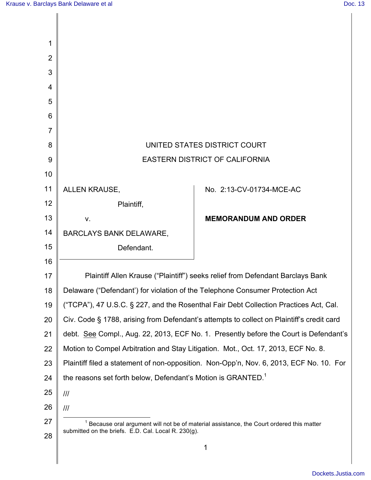|                                                                                           | UNITED STATES DISTRICT COURT                                                                |
|-------------------------------------------------------------------------------------------|---------------------------------------------------------------------------------------------|
| <b>EASTERN DISTRICT OF CALIFORNIA</b>                                                     |                                                                                             |
|                                                                                           |                                                                                             |
| ALLEN KRAUSE,                                                                             | No. 2:13-CV-01734-MCE-AC                                                                    |
| Plaintiff,                                                                                |                                                                                             |
| V.                                                                                        | <b>MEMORANDUM AND ORDER</b>                                                                 |
| <b>BARCLAYS BANK DELAWARE,</b>                                                            |                                                                                             |
| Defendant.                                                                                |                                                                                             |
|                                                                                           |                                                                                             |
| Plaintiff Allen Krause ("Plaintiff") seeks relief from Defendant Barclays Bank            |                                                                                             |
| Delaware ("Defendant') for violation of the Telephone Consumer Protection Act             |                                                                                             |
|                                                                                           | ("TCPA"), 47 U.S.C. § 227, and the Rosenthal Fair Debt Collection Practices Act, Cal.       |
| Civ. Code § 1788, arising from Defendant's attempts to collect on Plaintiff's credit card |                                                                                             |
| debt. See Compl., Aug. 22, 2013, ECF No. 1. Presently before the Court is Defendant's     |                                                                                             |
|                                                                                           | Motion to Compel Arbitration and Stay Litigation. Mot., Oct. 17, 2013, ECF No. 8.           |
|                                                                                           | Plaintiff filed a statement of non-opposition. Non-Opp'n, Nov. 6, 2013, ECF No. 10. For     |
| the reasons set forth below, Defendant's Motion is GRANTED. <sup>1</sup>                  |                                                                                             |
| III                                                                                       |                                                                                             |
| ///                                                                                       |                                                                                             |
|                                                                                           | $1$ Because oral argument will not be of material assistance, the Court ordered this matter |
|                                                                                           |                                                                                             |
|                                                                                           | 1                                                                                           |
|                                                                                           | submitted on the briefs. E.D. Cal. Local R. 230(g).                                         |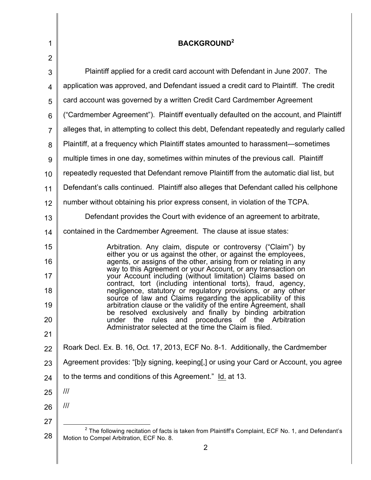| 1              | <b>BACKGROUND<sup>2</sup></b>                                                                                                                                                                     |
|----------------|---------------------------------------------------------------------------------------------------------------------------------------------------------------------------------------------------|
| $\overline{2}$ |                                                                                                                                                                                                   |
| 3              | Plaintiff applied for a credit card account with Defendant in June 2007. The                                                                                                                      |
| 4              | application was approved, and Defendant issued a credit card to Plaintiff. The credit                                                                                                             |
| 5              | card account was governed by a written Credit Card Cardmember Agreement                                                                                                                           |
| 6              | ("Cardmember Agreement"). Plaintiff eventually defaulted on the account, and Plaintiff                                                                                                            |
| $\overline{7}$ | alleges that, in attempting to collect this debt, Defendant repeatedly and regularly called                                                                                                       |
| 8              | Plaintiff, at a frequency which Plaintiff states amounted to harassment—sometimes                                                                                                                 |
| 9              | multiple times in one day, sometimes within minutes of the previous call. Plaintiff                                                                                                               |
| 10             | repeatedly requested that Defendant remove Plaintiff from the automatic dial list, but                                                                                                            |
| 11             | Defendant's calls continued. Plaintiff also alleges that Defendant called his cellphone                                                                                                           |
| 12             | number without obtaining his prior express consent, in violation of the TCPA.                                                                                                                     |
| 13             | Defendant provides the Court with evidence of an agreement to arbitrate,                                                                                                                          |
| 14             | contained in the Cardmember Agreement. The clause at issue states:                                                                                                                                |
| 15<br>16       | Arbitration. Any claim, dispute or controversy ("Claim") by<br>either you or us against the other, or against the employees,<br>agents, or assigns of the other, arising from or relating in any  |
| 17             | way to this Agreement or your Account, or any transaction on<br>your Account including (without limitation) Claims based on<br>contract, tort (including intentional torts), fraud, agency,       |
| 18<br>19       | negligence, statutory or regulatory provisions, or any other<br>source of law and Claims regarding the applicability of this<br>arbitration clause or the validity of the entire Agreement, shall |
| 20             | be resolved exclusively and finally by binding arbitration<br>rules and procedures of the Arbitration<br>under<br>the<br>Administrator selected at the time the Claim is filed.                   |
| 21             |                                                                                                                                                                                                   |
| 22             | Roark Decl. Ex. B. 16, Oct. 17, 2013, ECF No. 8-1. Additionally, the Cardmember                                                                                                                   |
| 23             | Agreement provides: "[b]y signing, keeping[,] or using your Card or Account, you agree                                                                                                            |
| 24             | to the terms and conditions of this Agreement." Id. at 13.                                                                                                                                        |
| 25             | $\frac{1}{1}$                                                                                                                                                                                     |
| 26             | $\frac{1}{1}$                                                                                                                                                                                     |
| 27             |                                                                                                                                                                                                   |
| 28             | $2$ The following recitation of facts is taken from Plaintiff's Complaint, ECF No. 1, and Defendant's<br>Motion to Compel Arbitration, ECF No. 8.<br>$\overline{2}$                               |

 $\parallel$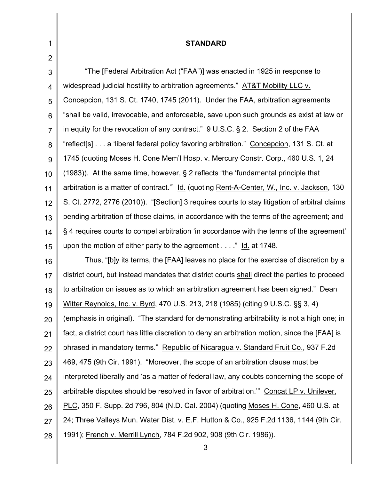| 1               | <b>STANDARD</b>                                                                                |
|-----------------|------------------------------------------------------------------------------------------------|
| $\overline{2}$  |                                                                                                |
| 3               | "The [Federal Arbitration Act ("FAA")] was enacted in 1925 in response to                      |
| 4               | widespread judicial hostility to arbitration agreements." AT&T Mobility LLC v.                 |
| 5               | Concepcion, 131 S. Ct. 1740, 1745 (2011). Under the FAA, arbitration agreements                |
| $6\phantom{1}6$ | "shall be valid, irrevocable, and enforceable, save upon such grounds as exist at law or       |
| $\overline{7}$  | in equity for the revocation of any contract." $9 U.S.C.$ § 2. Section 2 of the FAA            |
| 8               | "reflect[s]a 'liberal federal policy favoring arbitration." Concepcion, 131 S. Ct. at          |
| 9               | 1745 (quoting Moses H. Cone Mem'l Hosp. v. Mercury Constr. Corp., 460 U.S. 1, 24               |
| 10              | $(1983)$ ). At the same time, however, § 2 reflects "the 'fundamental principle that           |
| 11              | arbitration is a matter of contract." Id. (quoting Rent-A-Center, W., Inc. v. Jackson, 130     |
| 12              | S. Ct. 2772, 2776 (2010)). "[Section] 3 requires courts to stay litigation of arbitral claims  |
| 13              | pending arbitration of those claims, in accordance with the terms of the agreement; and        |
| 14              | §4 requires courts to compel arbitration 'in accordance with the terms of the agreement'       |
| 15              | upon the motion of either party to the agreement" Id. at 1748.                                 |
| 16              | Thus, "[b]y its terms, the [FAA] leaves no place for the exercise of discretion by a           |
| 17              | district court, but instead mandates that district courts shall direct the parties to proceed  |
| 18              | to arbitration on issues as to which an arbitration agreement has been signed." Dean           |
| 19              | Witter Reynolds, Inc. v. Byrd, 470 U.S. 213, 218 (1985) (citing 9 U.S.C. §§ 3, 4)              |
| 20              | (emphasis in original). "The standard for demonstrating arbitrability is not a high one; in    |
| 21              | fact, a district court has little discretion to deny an arbitration motion, since the [FAA] is |
| 22              | phrased in mandatory terms." Republic of Nicaragua v. Standard Fruit Co., 937 F.2d             |
| 23              | 469, 475 (9th Cir. 1991). "Moreover, the scope of an arbitration clause must be                |
| 24              | interpreted liberally and 'as a matter of federal law, any doubts concerning the scope of      |
| 25              | arbitrable disputes should be resolved in favor of arbitration." Concat LP v. Unilever,        |
| 26              | PLC, 350 F. Supp. 2d 796, 804 (N.D. Cal. 2004) (quoting Moses H. Cone, 460 U.S. at             |
| 27              | 24; Three Valleys Mun. Water Dist. v. E.F. Hutton & Co., 925 F.2d 1136, 1144 (9th Cir.         |
| 28              | 1991); French v. Merrill Lynch, 784 F.2d 902, 908 (9th Cir. 1986)).                            |
|                 | 3                                                                                              |
|                 |                                                                                                |

 $\begin{array}{c} \hline \end{array}$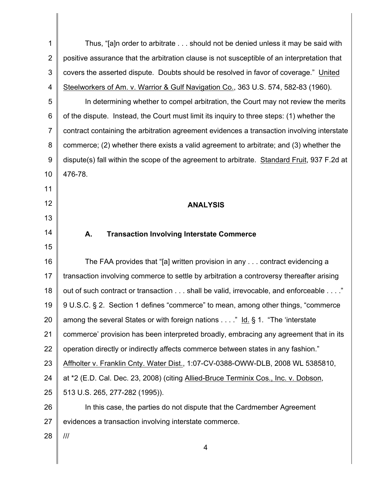1 2 3 4 5 6 7 8 9 10 11 12 13 14 15 16 17 18 19 20 21 22 23 24 25 26 27 28 4 Thus, "[a]n order to arbitrate . . . should not be denied unless it may be said with positive assurance that the arbitration clause is not susceptible of an interpretation that covers the asserted dispute. Doubts should be resolved in favor of coverage." United Steelworkers of Am. v. Warrior & Gulf Navigation Co., 363 U.S. 574, 582-83 (1960). In determining whether to compel arbitration, the Court may not review the merits of the dispute. Instead, the Court must limit its inquiry to three steps: (1) whether the contract containing the arbitration agreement evidences a transaction involving interstate commerce; (2) whether there exists a valid agreement to arbitrate; and (3) whether the dispute(s) fall within the scope of the agreement to arbitrate. Standard Fruit, 937 F.2d at 476-78. **ANALYSIS A. Transaction Involving Interstate Commerce** The FAA provides that "[a] written provision in any . . . contract evidencing a transaction involving commerce to settle by arbitration a controversy thereafter arising out of such contract or transaction . . . shall be valid, irrevocable, and enforceable . . . ." 9 U.S.C. § 2. Section 1 defines "commerce" to mean, among other things, "commerce among the several States or with foreign nations . . . ." Id. § 1. "The 'interstate commerce' provision has been interpreted broadly, embracing any agreement that in its operation directly or indirectly affects commerce between states in any fashion." Affholter v. Franklin Cnty. Water Dist., 1:07-CV-0388-OWW-DLB, 2008 WL 5385810, at \*2 (E.D. Cal. Dec. 23, 2008) (citing Allied-Bruce Terminix Cos., Inc. v. Dobson, 513 U.S. 265, 277-282 (1995)). In this case, the parties do not dispute that the Cardmember Agreement evidences a transaction involving interstate commerce. ///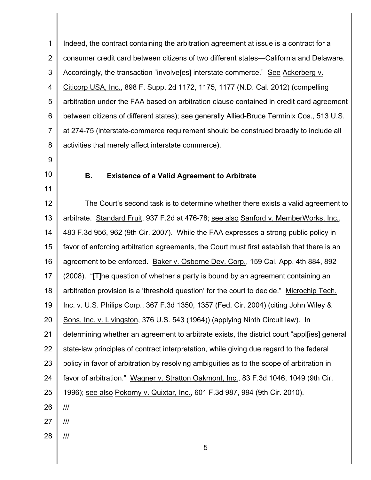1 2 3 4 5 6 7 8 Indeed, the contract containing the arbitration agreement at issue is a contract for a consumer credit card between citizens of two different states—California and Delaware. Accordingly, the transaction "involve[es] interstate commerce." See Ackerberg v. Citicorp USA, Inc., 898 F. Supp. 2d 1172, 1175, 1177 (N.D. Cal. 2012) (compelling arbitration under the FAA based on arbitration clause contained in credit card agreement between citizens of different states); see generally Allied-Bruce Terminix Cos., 513 U.S. at 274-75 (interstate-commerce requirement should be construed broadly to include all activities that merely affect interstate commerce).

- 9
- 10

11

## **B. Existence of a Valid Agreement to Arbitrate**

12 13 14 15 16 17 18 19 20 21 22 23 24 25 26 27 28 The Court's second task is to determine whether there exists a valid agreement to arbitrate. Standard Fruit, 937 F.2d at 476-78; see also Sanford v. MemberWorks, Inc., 483 F.3d 956, 962 (9th Cir. 2007). While the FAA expresses a strong public policy in favor of enforcing arbitration agreements, the Court must first establish that there is an agreement to be enforced. Baker v. Osborne Dev. Corp., 159 Cal. App. 4th 884, 892 (2008). "[T]he question of whether a party is bound by an agreement containing an arbitration provision is a 'threshold question' for the court to decide." Microchip Tech. Inc. v. U.S. Philips Corp., 367 F.3d 1350, 1357 (Fed. Cir. 2004) (citing John Wiley & Sons, Inc. v. Livingston, 376 U.S. 543 (1964)) (applying Ninth Circuit law). In determining whether an agreement to arbitrate exists, the district court "appl[ies] general state-law principles of contract interpretation, while giving due regard to the federal policy in favor of arbitration by resolving ambiguities as to the scope of arbitration in favor of arbitration." Wagner v. Stratton Oakmont, Inc., 83 F.3d 1046, 1049 (9th Cir. 1996); see also Pokorny v. Quixtar, Inc., 601 F.3d 987, 994 (9th Cir. 2010). /// /// ///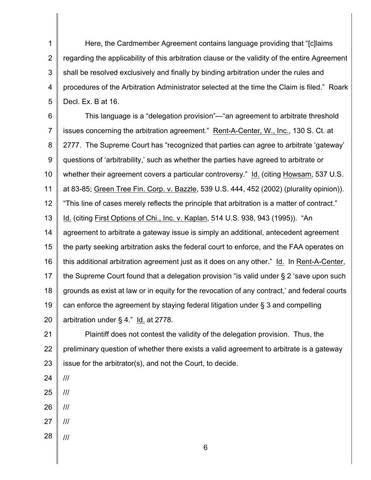1 2 3 4 5 Here, the Cardmember Agreement contains language providing that "[c]laims regarding the applicability of this arbitration clause or the validity of the entire Agreement shall be resolved exclusively and finally by binding arbitration under the rules and procedures of the Arbitration Administrator selected at the time the Claim is filed." Roark Decl. Ex. B at 16.

6 7 8 9 10 11 12 13 14 15 16 17 18 19 20 This language is a "delegation provision"—"an agreement to arbitrate threshold issues concerning the arbitration agreement." Rent-A-Center, W., Inc., 130 S. Ct. at 2777. The Supreme Court has "recognized that parties can agree to arbitrate 'gateway' questions of 'arbitrability,' such as whether the parties have agreed to arbitrate or whether their agreement covers a particular controversy." Id. (citing Howsam, 537 U.S. at 83-85; Green Tree Fin. Corp. v. Bazzle, 539 U.S. 444, 452 (2002) (plurality opinion)). "This line of cases merely reflects the principle that arbitration is a matter of contract." Id. (citing First Options of Chi., Inc. v. Kaplan, 514 U.S. 938, 943 (1995)). "An agreement to arbitrate a gateway issue is simply an additional, antecedent agreement the party seeking arbitration asks the federal court to enforce, and the FAA operates on this additional arbitration agreement just as it does on any other." Id. In Rent-A-Center, the Supreme Court found that a delegation provision "is valid under § 2 'save upon such grounds as exist at law or in equity for the revocation of any contract,' and federal courts can enforce the agreement by staying federal litigation under § 3 and compelling arbitration under § 4." Id. at 2778.

21 22 23 Plaintiff does not contest the validity of the delegation provision. Thus, the preliminary question of whether there exists a valid agreement to arbitrate is a gateway issue for the arbitrator(s), and not the Court, to decide.

- 24 ///
- 25 ///
- 26 ///
- 27 ///
- 28 ///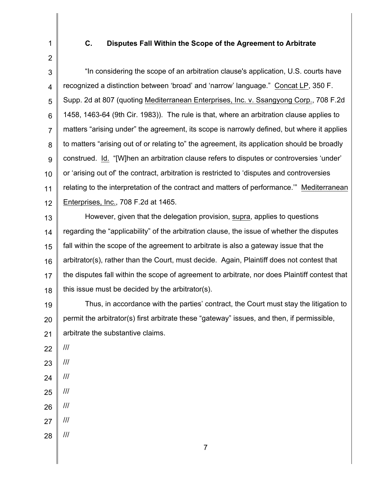1

2

## **C. Disputes Fall Within the Scope of the Agreement to Arbitrate**

3 4 5 6 7 8 9 10 11 12 "In considering the scope of an arbitration clause's application, U.S. courts have recognized a distinction between 'broad' and 'narrow' language." Concat LP, 350 F. Supp. 2d at 807 (quoting Mediterranean Enterprises, Inc. v. Ssangyong Corp., 708 F.2d 1458, 1463-64 (9th Cir. 1983)). The rule is that, where an arbitration clause applies to matters "arising under" the agreement, its scope is narrowly defined, but where it applies to matters "arising out of or relating to" the agreement, its application should be broadly construed. Id. "[W]hen an arbitration clause refers to disputes or controversies 'under' or 'arising out of' the contract, arbitration is restricted to 'disputes and controversies relating to the interpretation of the contract and matters of performance.'" Mediterranean Enterprises, Inc., 708 F.2d at 1465.

13 14 15 16 17 18 However, given that the delegation provision, supra, applies to questions regarding the "applicability" of the arbitration clause, the issue of whether the disputes fall within the scope of the agreement to arbitrate is also a gateway issue that the arbitrator(s), rather than the Court, must decide. Again, Plaintiff does not contest that the disputes fall within the scope of agreement to arbitrate, nor does Plaintiff contest that this issue must be decided by the arbitrator(s).

19 20 21 Thus, in accordance with the parties' contract, the Court must stay the litigation to permit the arbitrator(s) first arbitrate these "gateway" issues, and then, if permissible, arbitrate the substantive claims.

22

///

- 23 ///
- 24 ///
- 25 ///
- 26 ///
- 27 ///
- 28 ///